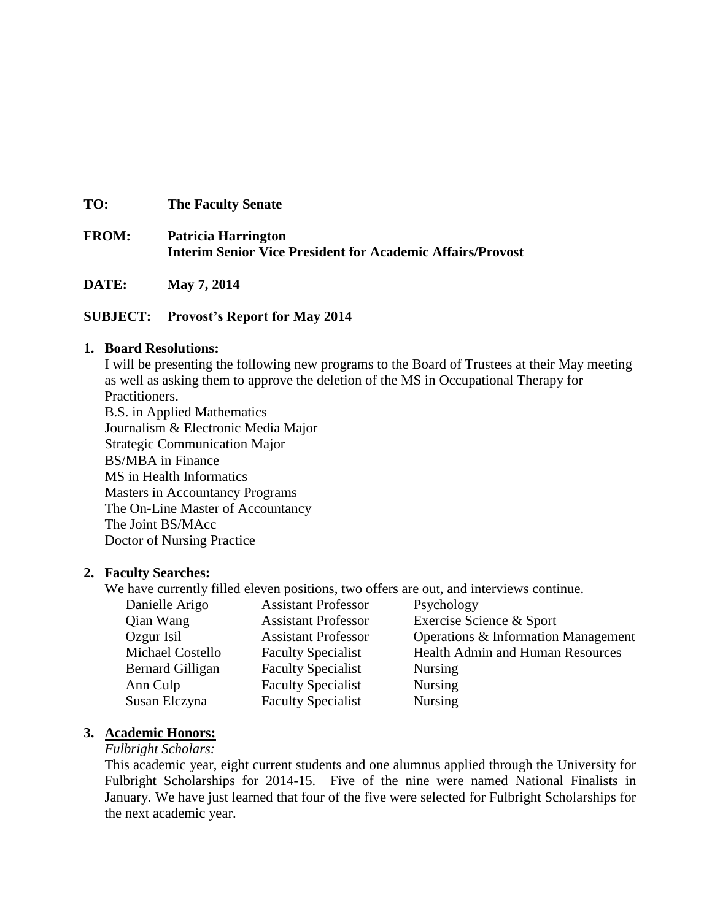**TO: The Faculty Senate**

# **FROM: Patricia Harrington Interim Senior Vice President for Academic Affairs/Provost**

**DATE: May 7, 2014**

## **SUBJECT: Provost's Report for May 2014**

#### **1. Board Resolutions:**

I will be presenting the following new programs to the Board of Trustees at their May meeting as well as asking them to approve the deletion of the MS in Occupational Therapy for Practitioners.

B.S. in Applied Mathematics Journalism & Electronic Media Major Strategic Communication Major BS/MBA in Finance MS in Health Informatics Masters in Accountancy Programs The On-Line Master of Accountancy The Joint BS/MAcc Doctor of Nursing Practice

## **2. Faculty Searches:**

We have currently filled eleven positions, two offers are out, and interviews continue.

| Danielle Arigo   | <b>Assistant Professor</b> | Psychology                              |
|------------------|----------------------------|-----------------------------------------|
| Qian Wang        | <b>Assistant Professor</b> | Exercise Science & Sport                |
| Ozgur Isil       | <b>Assistant Professor</b> | Operations & Information Management     |
| Michael Costello | <b>Faculty Specialist</b>  | <b>Health Admin and Human Resources</b> |
| Bernard Gilligan | <b>Faculty Specialist</b>  | <b>Nursing</b>                          |
| Ann Culp         | <b>Faculty Specialist</b>  | <b>Nursing</b>                          |
| Susan Elczyna    | <b>Faculty Specialist</b>  | <b>Nursing</b>                          |
|                  |                            |                                         |

## **3. Academic Honors:**

#### *Fulbright Scholars:*

This academic year, eight current students and one alumnus applied through the University for Fulbright Scholarships for 2014-15. Five of the nine were named National Finalists in January. We have just learned that four of the five were selected for Fulbright Scholarships for the next academic year.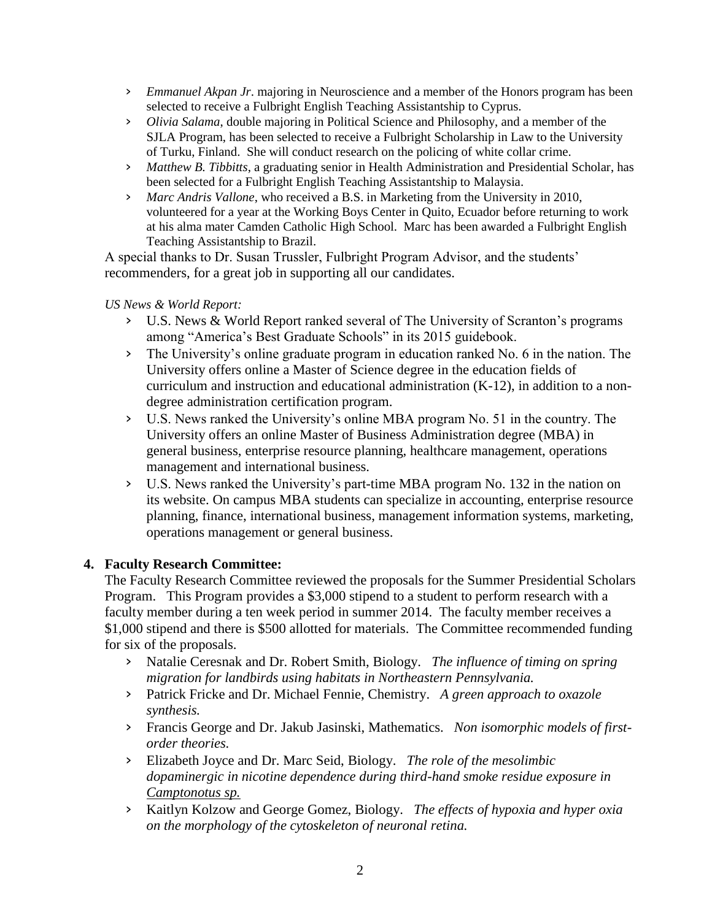- › *Emmanuel Akpan Jr*. majoring in Neuroscience and a member of the Honors program has been selected to receive a Fulbright English Teaching Assistantship to Cyprus.
- › *Olivia Salama*, double majoring in Political Science and Philosophy, and a member of the SJLA Program, has been selected to receive a Fulbright Scholarship in Law to the University of Turku, Finland. She will conduct research on the policing of white collar crime.
- › *Matthew B. Tibbitts*, a graduating senior in Health Administration and Presidential Scholar, has been selected for a Fulbright English Teaching Assistantship to Malaysia.
- › *Marc Andris Vallone*, who received a B.S. in Marketing from the University in 2010, volunteered for a year at the Working Boys Center in Quito, Ecuador before returning to work at his alma mater Camden Catholic High School. Marc has been awarded a Fulbright English Teaching Assistantship to Brazil.

A special thanks to Dr. Susan Trussler, Fulbright Program Advisor, and the students' recommenders, for a great job in supporting all our candidates.

## *US News & World Report:*

- › U.S. News & World Report ranked several of The University of Scranton's programs among "America's Best Graduate Schools" in its 2015 guidebook.
- › The University's online graduate program in education ranked No. 6 in the nation. The University offers online a Master of Science degree in the education fields of curriculum and instruction and educational administration (K-12), in addition to a nondegree administration certification program.
- › U.S. News ranked the University's online MBA program No. 51 in the country. The University offers an online Master of Business Administration degree (MBA) in general business, enterprise resource planning, healthcare management, operations management and international business.
- › U.S. News ranked the University's part-time MBA program No. 132 in the nation on its website. On campus MBA students can specialize in accounting, enterprise resource planning, finance, international business, management information systems, marketing, operations management or general business.

# **4. Faculty Research Committee:**

The Faculty Research Committee reviewed the proposals for the Summer Presidential Scholars Program. This Program provides a \$3,000 stipend to a student to perform research with a faculty member during a ten week period in summer 2014. The faculty member receives a \$1,000 stipend and there is \$500 allotted for materials. The Committee recommended funding for six of the proposals.

- › Natalie Ceresnak and Dr. Robert Smith, Biology. *The influence of timing on spring migration for landbirds using habitats in Northeastern Pennsylvania.*
- › Patrick Fricke and Dr. Michael Fennie, Chemistry. *A green approach to oxazole synthesis.*
- › Francis George and Dr. Jakub Jasinski, Mathematics. *Non isomorphic models of firstorder theories.*
- › Elizabeth Joyce and Dr. Marc Seid, Biology. *The role of the mesolimbic dopaminergic in nicotine dependence during third-hand smoke residue exposure in Camptonotus sp.*
- › Kaitlyn Kolzow and George Gomez, Biology. *The effects of hypoxia and hyper oxia on the morphology of the cytoskeleton of neuronal retina.*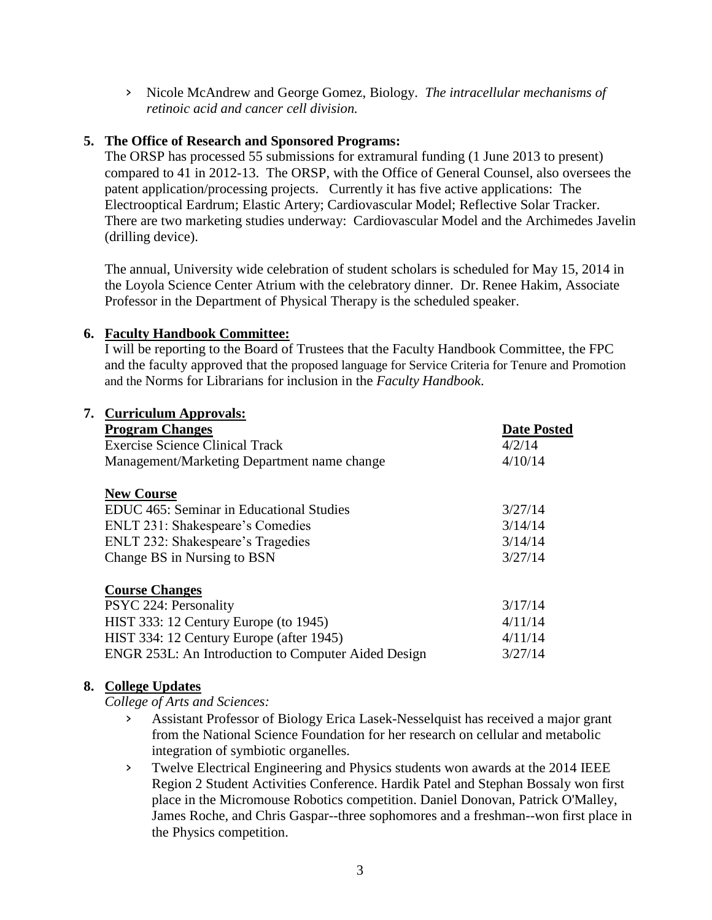› Nicole McAndrew and George Gomez, Biology. *The intracellular mechanisms of retinoic acid and cancer cell division.* 

## **5. The Office of Research and Sponsored Programs:**

The ORSP has processed 55 submissions for extramural funding (1 June 2013 to present) compared to 41 in 2012-13. The ORSP, with the Office of General Counsel, also oversees the patent application/processing projects. Currently it has five active applications: The Electrooptical Eardrum; Elastic Artery; Cardiovascular Model; Reflective Solar Tracker. There are two marketing studies underway: Cardiovascular Model and the Archimedes Javelin (drilling device).

The annual, University wide celebration of student scholars is scheduled for May 15, 2014 in the Loyola Science Center Atrium with the celebratory dinner. Dr. Renee Hakim, Associate Professor in the Department of Physical Therapy is the scheduled speaker.

## **6. Faculty Handbook Committee:**

I will be reporting to the Board of Trustees that the Faculty Handbook Committee, the FPC and the faculty approved that the proposed language for Service Criteria for Tenure and Promotion and the Norms for Librarians for inclusion in the *Faculty Handbook*.

| 7. Curriculum Approvals:                            |                    |  |  |  |
|-----------------------------------------------------|--------------------|--|--|--|
| <b>Program Changes</b>                              | <b>Date Posted</b> |  |  |  |
| Exercise Science Clinical Track                     | 4/2/14             |  |  |  |
| Management/Marketing Department name change         | 4/10/14            |  |  |  |
| <b>New Course</b>                                   |                    |  |  |  |
| EDUC 465: Seminar in Educational Studies            | 3/27/14            |  |  |  |
| ENLT 231: Shakespeare's Comedies                    | 3/14/14            |  |  |  |
| ENLT 232: Shakespeare's Tragedies                   | 3/14/14            |  |  |  |
| Change BS in Nursing to BSN                         | 3/27/14            |  |  |  |
| <b>Course Changes</b>                               |                    |  |  |  |
| PSYC 224: Personality                               | 3/17/14            |  |  |  |
| HIST 333: 12 Century Europe (to 1945)               | 4/11/14            |  |  |  |
| HIST 334: 12 Century Europe (after 1945)            | 4/11/14            |  |  |  |
| ENGR 253L: An Introduction to Computer Aided Design | 3/27/14            |  |  |  |

## **8. College Updates**

*College of Arts and Sciences:*

- › Assistant Professor of Biology Erica Lasek-Nesselquist has received a major grant from the National Science Foundation for her research on cellular and metabolic integration of symbiotic organelles.
- › Twelve Electrical Engineering and Physics students won awards at the 2014 IEEE Region 2 Student Activities Conference. Hardik Patel and Stephan Bossaly won first place in the Micromouse Robotics competition. Daniel Donovan, Patrick O'Malley, James Roche, and Chris Gaspar--three sophomores and a freshman--won first place in the Physics competition.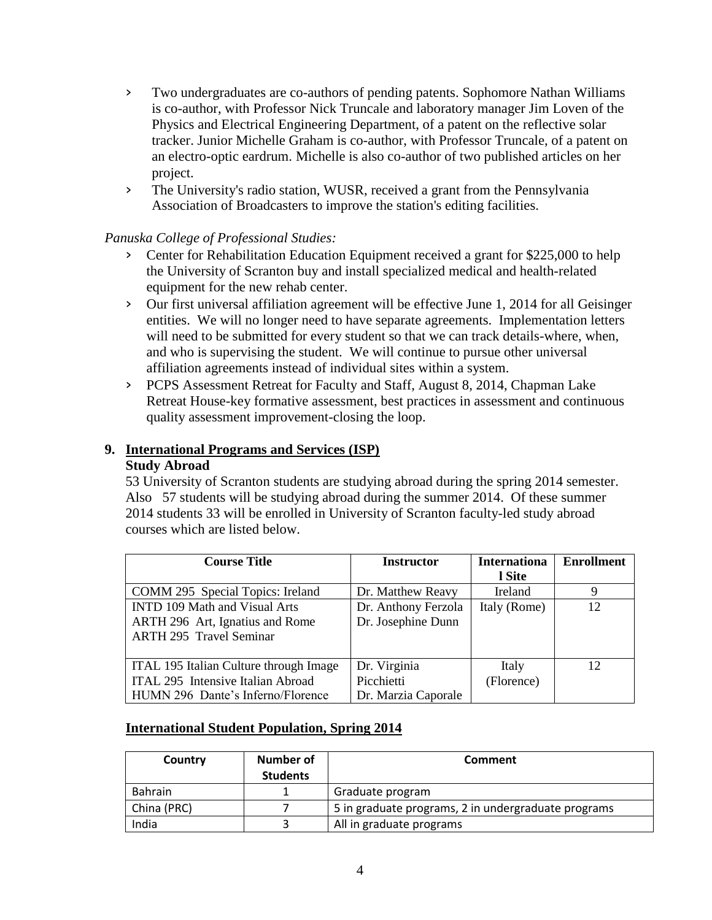- › Two undergraduates are co-authors of pending patents. Sophomore Nathan Williams is co-author, with Professor Nick Truncale and laboratory manager Jim Loven of the Physics and Electrical Engineering Department, of a patent on the reflective solar tracker. Junior Michelle Graham is co-author, with Professor Truncale, of a patent on an electro-optic eardrum. Michelle is also co-author of two published articles on her project.
- › The University's radio station, WUSR, received a grant from the Pennsylvania Association of Broadcasters to improve the station's editing facilities.

# *Panuska College of Professional Studies:*

- › Center for Rehabilitation Education Equipment received a grant for \$225,000 to help the University of Scranton buy and install specialized medical and health-related equipment for the new rehab center.
- › Our first universal affiliation agreement will be effective June 1, 2014 for all Geisinger entities. We will no longer need to have separate agreements. Implementation letters will need to be submitted for every student so that we can track details-where, when, and who is supervising the student. We will continue to pursue other universal affiliation agreements instead of individual sites within a system.
- › PCPS Assessment Retreat for Faculty and Staff, August 8, 2014, Chapman Lake Retreat House-key formative assessment, best practices in assessment and continuous quality assessment improvement-closing the loop.

# **9. International Programs and Services (ISP)**

## **Study Abroad**

53 University of Scranton students are studying abroad during the spring 2014 semester. Also 57 students will be studying abroad during the summer 2014. Of these summer 2014 students 33 will be enrolled in University of Scranton faculty-led study abroad courses which are listed below.

| <b>Course Title</b>                    | <b>Instructor</b>   | <b>Internationa</b> | <b>Enrollment</b> |
|----------------------------------------|---------------------|---------------------|-------------------|
|                                        |                     | l Site              |                   |
| COMM 295 Special Topics: Ireland       | Dr. Matthew Reavy   | <b>Ireland</b>      |                   |
| <b>INTD 109 Math and Visual Arts</b>   | Dr. Anthony Ferzola | Italy (Rome)        | 12.               |
| ARTH 296 Art, Ignatius and Rome        | Dr. Josephine Dunn  |                     |                   |
| <b>ARTH 295 Travel Seminar</b>         |                     |                     |                   |
|                                        |                     |                     |                   |
| ITAL 195 Italian Culture through Image | Dr. Virginia        | Italy               | 12                |
| ITAL 295 Intensive Italian Abroad      | Picchietti          | (Florence)          |                   |
| HUMN 296 Dante's Inferno/Florence      | Dr. Marzia Caporale |                     |                   |

# **International Student Population, Spring 2014**

| Country     | Number of<br><b>Students</b> | Comment                                             |
|-------------|------------------------------|-----------------------------------------------------|
| Bahrain     |                              | Graduate program                                    |
| China (PRC) |                              | 5 in graduate programs, 2 in undergraduate programs |
| India       |                              | All in graduate programs                            |